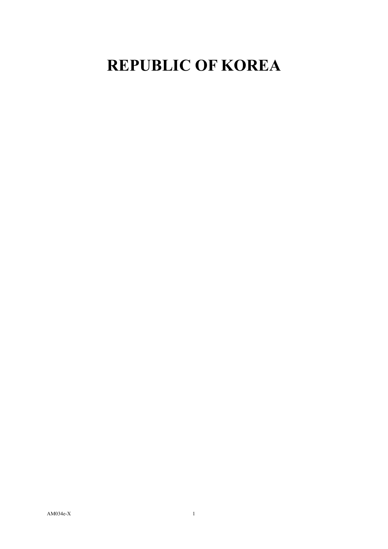## **REPUBLIC OF KOREA**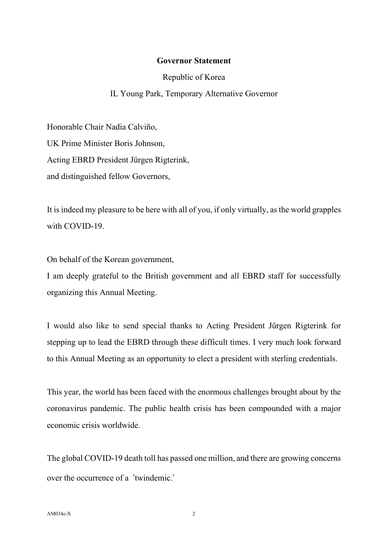## **Governor Statement**

Republic of Korea

## IL Young Park, Temporary Alternative Governor

Honorable Chair Nadia Calviño, UK Prime Minister Boris Johnson, Acting EBRD President Jürgen Rigterink, and distinguished fellow Governors,

It is indeed my pleasure to be here with all of you, if only virtually, as the world grapples with COVID-19

On behalf of the Korean government,

I am deeply grateful to the British government and all EBRD staff for successfully organizing this Annual Meeting.

I would also like to send special thanks to Acting President Jürgen Rigterink for stepping up to lead the EBRD through these difficult times. I very much look forward to this Annual Meeting as an opportunity to elect a president with sterling credentials.

This year, the world has been faced with the enormous challenges brought about by the coronavirus pandemic. The public health crisis has been compounded with a major economic crisis worldwide.

The global COVID-19 death toll has passed one million, and there are growing concerns over the occurrence of a 'twindemic.'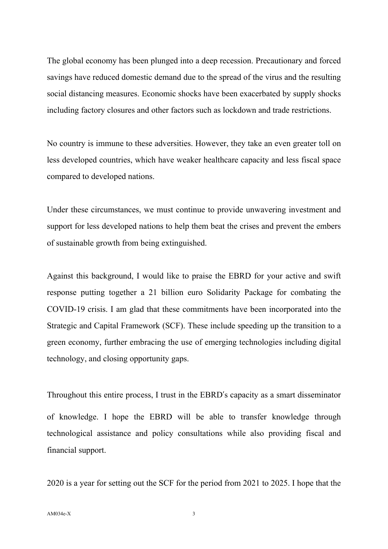The global economy has been plunged into a deep recession. Precautionary and forced savings have reduced domestic demand due to the spread of the virus and the resulting social distancing measures. Economic shocks have been exacerbated by supply shocks including factory closures and other factors such as lockdown and trade restrictions.

No country is immune to these adversities. However, they take an even greater toll on less developed countries, which have weaker healthcare capacity and less fiscal space compared to developed nations.

Under these circumstances, we must continue to provide unwavering investment and support for less developed nations to help them beat the crises and prevent the embers of sustainable growth from being extinguished.

Against this background, I would like to praise the EBRD for your active and swift response putting together a 21 billion euro Solidarity Package for combating the COVID-19 crisis. I am glad that these commitments have been incorporated into the Strategic and Capital Framework (SCF). These include speeding up the transition to a green economy, further embracing the use of emerging technologies including digital technology, and closing opportunity gaps.

Throughout this entire process, I trust in the EBRD's capacity as a smart disseminator of knowledge. I hope the EBRD will be able to transfer knowledge through technological assistance and policy consultations while also providing fiscal and financial support.

2020 is a year for setting out the SCF for the period from 2021 to 2025. I hope that the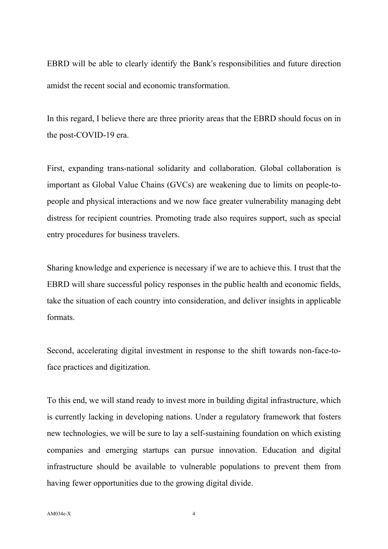EBRD will be able to clearly identify the Bank's responsibilities and future direction amidst the recent social and economic transformation.

In this regard, I believe there are three priority areas that the EBRD should focus on in the post-COVID-19 era.

First, expanding trans-national solidarity and collaboration. Global collaboration is important as Global Value Chains (GVCs) are weakening due to limits on people-topeople and physical interactions and we now face greater vulnerability managing debt distress for recipient countries. Promoting trade also requires support, such as special entry procedures for business travelers.

Sharing knowledge and experience is necessary if we are to achieve this. I trust that the EBRD will share successful policy responses in the public health and economic fields, take the situation of each country into consideration, and deliver insights in applicable formats.

Second, accelerating digital investment in response to the shift towards non-face-toface practices and digitization.

To this end, we will stand ready to invest more in building digital infrastructure, which is currently lacking in developing nations. Under a regulatory framework that fosters new technologies, we will be sure to lay a self-sustaining foundation on which existing companies and emerging startups can pursue innovation. Education and digital infrastructure should be available to vulnerable populations to prevent them from having fewer opportunities due to the growing digital divide.